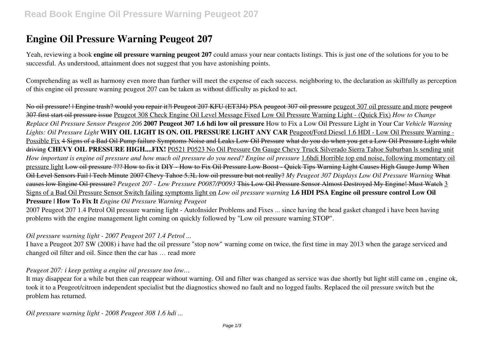# **Engine Oil Pressure Warning Peugeot 207**

Yeah, reviewing a book **engine oil pressure warning peugeot 207** could amass your near contacts listings. This is just one of the solutions for you to be successful. As understood, attainment does not suggest that you have astonishing points.

Comprehending as well as harmony even more than further will meet the expense of each success. neighboring to, the declaration as skillfully as perception of this engine oil pressure warning peugeot 207 can be taken as without difficulty as picked to act.

No oil pressure! | Engine trash? would you repair it?| Peugeot 207 KFU (ET3J4) PSA peugeot 307 oil pressure peugeot 307 oil pressure and more peugeot 307 first start oil pressure issue Peugeot 308 Check Engine Oil Level Message Fixed Low Oil Pressure Warning Light - (Quick Fix) *How to Change Replace Oil Pressure Sensor Peugeot 206* **2007 Peugeot 307 1.6 hdi low oil pressure** How to Fix a Low Oil Pressure Light in Your Car *Vehicle Warning Lights: Oil Pressure Light* **WHY OIL LIGHT IS ON. OIL PRESSURE LIGHT ANY CAR** Peugeot/Ford Diesel 1.6 HDI - Low Oil Pressure Warning - Possible Fix 4 Signs of a Bad Oil Pump failure Symptoms Noise and Leaks Low Oil Pressure what do you do when you get a Low Oil Pressure Light while driving **CHEVY OIL PRESSURE HIGH....FIX!** P0521 P0523 No Oil Pressure On Gauge Chevy Truck Silverado Sierra Tahoe Suburban ls sending unit *How important is engine oil pressure and how much oil pressure do you need? Engine oil pressure* 1.6hdi Horrible top end noise, following momentary oil pressure light Low oil pressure ??? How to fix it DIY - How to Fix Oil Pressure Low Boost - Quick Tips Warning Light Causes High Gauge Jump When Oil Level Sensors Fail | Tech Minute 2007 Chevy Tahoe 5.3L low oil pressure but not really? *My Peugeot 307 Displays Low Oil Pressure Warning* What causes low Engine Oil pressure? *Peugeot 207 - Low Pressure P0087/P0093* This Low Oil Pressure Sensor Almost Destroyed My Engine! Must Watch 3 Signs of a Bad Oil Pressure Sensor Switch failing symptoms light on *Low oil pressure warning* **1.6 HDI PSA Engine oil pressure control Low Oil Pressure | How To Fix It** *Engine Oil Pressure Warning Peugeot*

2007 Peugeot 207 1.4 Petrol Oil pressure warning light - AutoInsider Problems and Fixes ... since having the head gasket changed i have been having problems with the engine management light coming on quickly followed by "Low oil pressure warning STOP".

#### *Oil pressure warning light - 2007 Peugeot 207 1.4 Petrol ...*

I have a Peugeot 207 SW (2008) i have had the oil pressure "stop now" warning come on twice, the first time in may 2013 when the garage serviced and changed oil filter and oil. Since then the car has … read more

#### *Peugeot 207: i keep getting a engine oil pressure too low…*

It may disappear for a while but then can reappear without warning. Oil and filter was changed as service was due shortly but light still came on , engine ok, took it to a Peugeot/citroen independent specialist but the diagnostics showed no fault and no logged faults. Replaced the oil pressure switch but the problem has returned.

*Oil pressure warning light - 2008 Peugeot 308 1.6 hdi ...*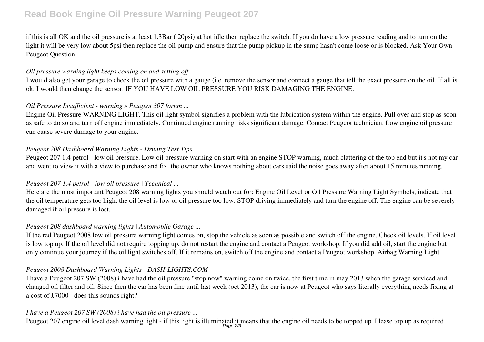# **Read Book Engine Oil Pressure Warning Peugeot 207**

if this is all OK and the oil pressure is at least 1.3Bar ( 20psi) at hot idle then replace the switch. If you do have a low pressure reading and to turn on the light it will be very low about 5psi then replace the oil pump and ensure that the pump pickup in the sump hasn't come loose or is blocked. Ask Your Own Peugeot Question.

### *Oil pressure warning light keeps coming on and setting off*

I would also get your garage to check the oil pressure with a gauge (i.e. remove the sensor and connect a gauge that tell the exact pressure on the oil. If all is ok. I would then change the sensor. IF YOU HAVE LOW OIL PRESSURE YOU RISK DAMAGING THE ENGINE.

# *Oil Pressure Insufficient - warning » Peugeot 307 forum ...*

Engine Oil Pressure WARNING LIGHT. This oil light symbol signifies a problem with the lubrication system within the engine. Pull over and stop as soon as safe to do so and turn off engine immediately. Continued engine running risks significant damage. Contact Peugeot technician. Low engine oil pressure can cause severe damage to your engine.

### *Peugeot 208 Dashboard Warning Lights - Driving Test Tips*

Peugeot 207 1.4 petrol - low oil pressure. Low oil pressure warning on start with an engine STOP warning, much clattering of the top end but it's not my car and went to view it with a view to purchase and fix. the owner who knows nothing about cars said the noise goes away after about 15 minutes running.

#### *Peugeot 207 1.4 petrol - low oil pressure | Technical ...*

Here are the most important Peugeot 208 warning lights you should watch out for: Engine Oil Level or Oil Pressure Warning Light Symbols, indicate that the oil temperature gets too high, the oil level is low or oil pressure too low. STOP driving immediately and turn the engine off. The engine can be severely damaged if oil pressure is lost.

#### *Peugeot 208 dashboard warning lights | Automobile Garage ...*

If the red Peugeot 2008 low oil pressure warning light comes on, stop the vehicle as soon as possible and switch off the engine. Check oil levels. If oil level is low top up. If the oil level did not require topping up, do not restart the engine and contact a Peugeot workshop. If you did add oil, start the engine but only continue your journey if the oil light switches off. If it remains on, switch off the engine and contact a Peugeot workshop. Airbag Warning Light

#### *Peugeot 2008 Dashboard Warning Lights - DASH-LIGHTS.COM*

I have a Peugeot 207 SW (2008) i have had the oil pressure "stop now" warning come on twice, the first time in may 2013 when the garage serviced and changed oil filter and oil. Since then the car has been fine until last week (oct 2013), the car is now at Peugeot who says literally everything needs fixing at a cost of £7000 - does this sounds right?

# *I have a Peugeot 207 SW (2008) i have had the oil pressure ...*

Peugeot 207 engine oil level dash warning light - if this light is illuminated it means that the engine oil needs to be topped up. Please top up as required